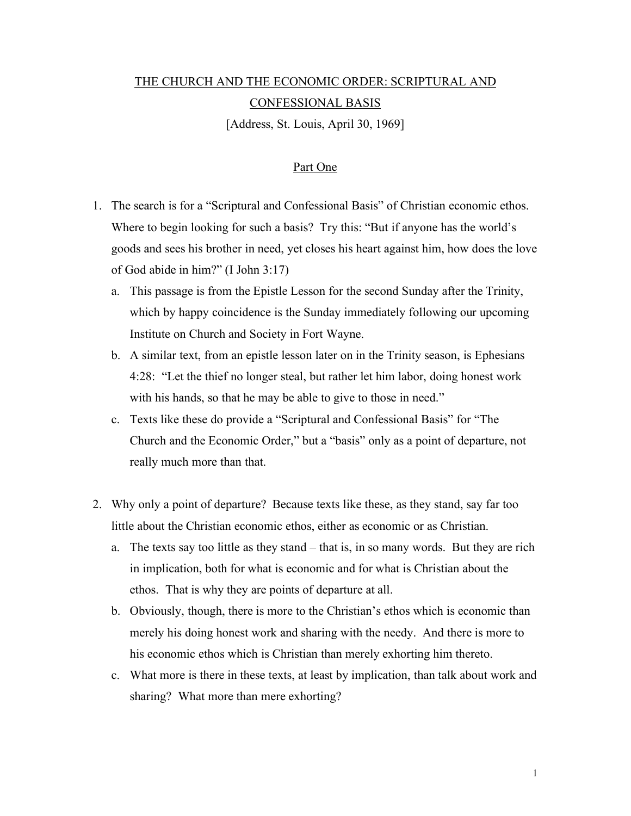## THE CHURCH AND THE ECONOMIC ORDER: SCRIPTURAL AND CONFESSIONAL BASIS

[Address, St. Louis, April 30, 1969]

## Part One

- 1. The search is for a "Scriptural and Confessional Basis" of Christian economic ethos. Where to begin looking for such a basis? Try this: "But if anyone has the world's goods and sees his brother in need, yet closes his heart against him, how does the love of God abide in him?" (I John 3:17)
	- a. This passage is from the Epistle Lesson for the second Sunday after the Trinity, which by happy coincidence is the Sunday immediately following our upcoming Institute on Church and Society in Fort Wayne.
	- b. A similar text, from an epistle lesson later on in the Trinity season, is Ephesians 4:28: "Let the thief no longer steal, but rather let him labor, doing honest work with his hands, so that he may be able to give to those in need."
	- c. Texts like these do provide a "Scriptural and Confessional Basis" for "The Church and the Economic Order," but a "basis" only as a point of departure, not really much more than that.
- 2. Why only a point of departure? Because texts like these, as they stand, say far too little about the Christian economic ethos, either as economic or as Christian.
	- a. The texts say too little as they stand that is, in so many words. But they are rich in implication, both for what is economic and for what is Christian about the ethos. That is why they are points of departure at all.
	- b. Obviously, though, there is more to the Christian's ethos which is economic than merely his doing honest work and sharing with the needy. And there is more to his economic ethos which is Christian than merely exhorting him thereto.
	- c. What more is there in these texts, at least by implication, than talk about work and sharing? What more than mere exhorting?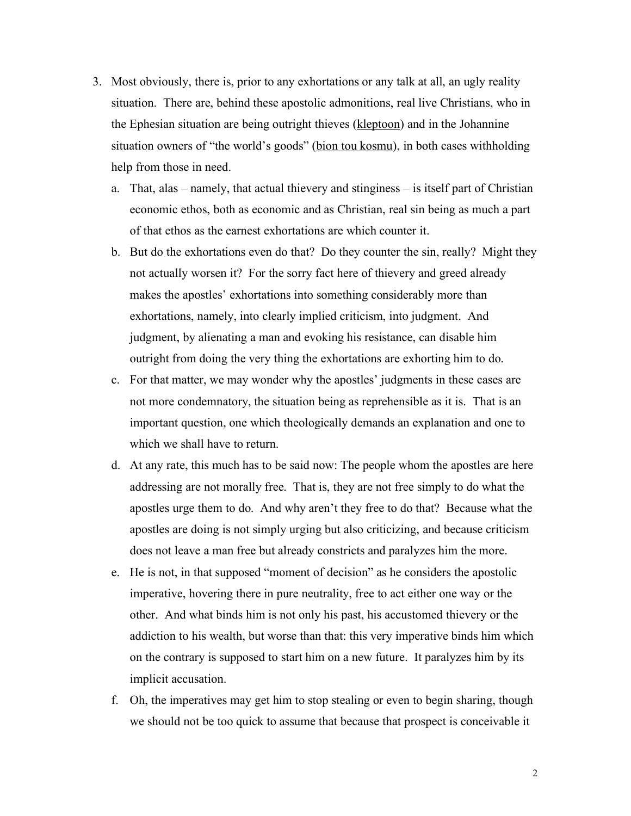- 3. Most obviously, there is, prior to any exhortations or any talk at all, an ugly reality situation. There are, behind these apostolic admonitions, real live Christians, who in the Ephesian situation are being outright thieves (kleptoon) and in the Johannine situation owners of "the world's goods" (bion tou kosmu), in both cases withholding help from those in need.
	- a. That, alas namely, that actual thievery and stinginess is itself part of Christian economic ethos, both as economic and as Christian, real sin being as much a part of that ethos as the earnest exhortations are which counter it.
	- b. But do the exhortations even do that? Do they counter the sin, really? Might they not actually worsen it? For the sorry fact here of thievery and greed already makes the apostles' exhortations into something considerably more than exhortations, namely, into clearly implied criticism, into judgment. And judgment, by alienating a man and evoking his resistance, can disable him outright from doing the very thing the exhortations are exhorting him to do.
	- c. For that matter, we may wonder why the apostles' judgments in these cases are not more condemnatory, the situation being as reprehensible as it is. That is an important question, one which theologically demands an explanation and one to which we shall have to return.
	- d. At any rate, this much has to be said now: The people whom the apostles are here addressing are not morally free. That is, they are not free simply to do what the apostles urge them to do. And why aren't they free to do that? Because what the apostles are doing is not simply urging but also criticizing, and because criticism does not leave a man free but already constricts and paralyzes him the more.
	- e. He is not, in that supposed "moment of decision" as he considers the apostolic imperative, hovering there in pure neutrality, free to act either one way or the other. And what binds him is not only his past, his accustomed thievery or the addiction to his wealth, but worse than that: this very imperative binds him which on the contrary is supposed to start him on a new future. It paralyzes him by its implicit accusation.
	- f. Oh, the imperatives may get him to stop stealing or even to begin sharing, though we should not be too quick to assume that because that prospect is conceivable it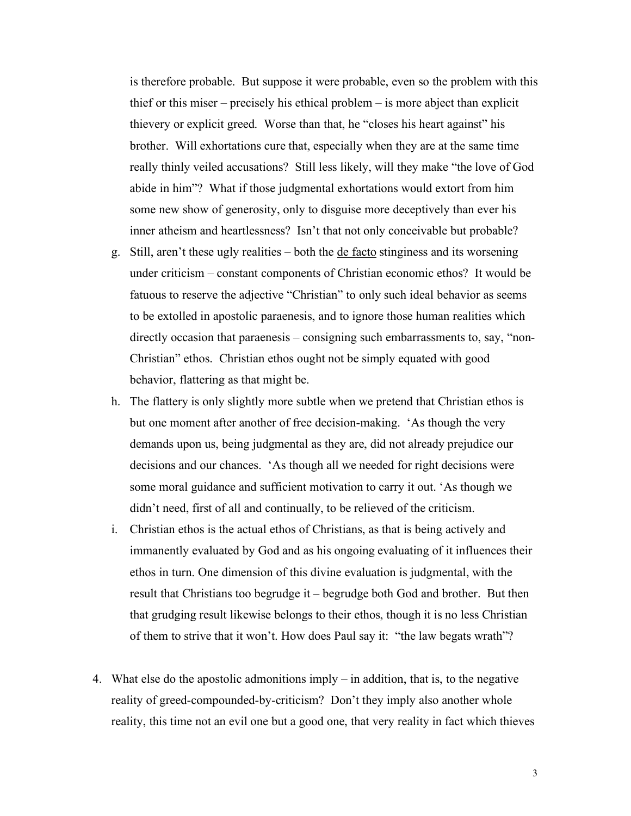is therefore probable. But suppose it were probable, even so the problem with this thief or this miser – precisely his ethical problem – is more abject than explicit thievery or explicit greed. Worse than that, he "closes his heart against" his brother. Will exhortations cure that, especially when they are at the same time really thinly veiled accusations? Still less likely, will they make "the love of God abide in him"? What if those judgmental exhortations would extort from him some new show of generosity, only to disguise more deceptively than ever his inner atheism and heartlessness? Isn't that not only conceivable but probable?

- g. Still, aren't these ugly realities both the de facto stinginess and its worsening under criticism – constant components of Christian economic ethos? It would be fatuous to reserve the adjective "Christian" to only such ideal behavior as seems to be extolled in apostolic paraenesis, and to ignore those human realities which directly occasion that paraenesis – consigning such embarrassments to, say, "non-Christian" ethos. Christian ethos ought not be simply equated with good behavior, flattering as that might be.
- h. The flattery is only slightly more subtle when we pretend that Christian ethos is but one moment after another of free decision-making. 'As though the very demands upon us, being judgmental as they are, did not already prejudice our decisions and our chances. 'As though all we needed for right decisions were some moral guidance and sufficient motivation to carry it out. 'As though we didn't need, first of all and continually, to be relieved of the criticism.
- i. Christian ethos is the actual ethos of Christians, as that is being actively and immanently evaluated by God and as his ongoing evaluating of it influences their ethos in turn. One dimension of this divine evaluation is judgmental, with the result that Christians too begrudge it – begrudge both God and brother. But then that grudging result likewise belongs to their ethos, though it is no less Christian of them to strive that it won't. How does Paul say it: "the law begats wrath"?
- 4. What else do the apostolic admonitions imply in addition, that is, to the negative reality of greed-compounded-by-criticism? Don't they imply also another whole reality, this time not an evil one but a good one, that very reality in fact which thieves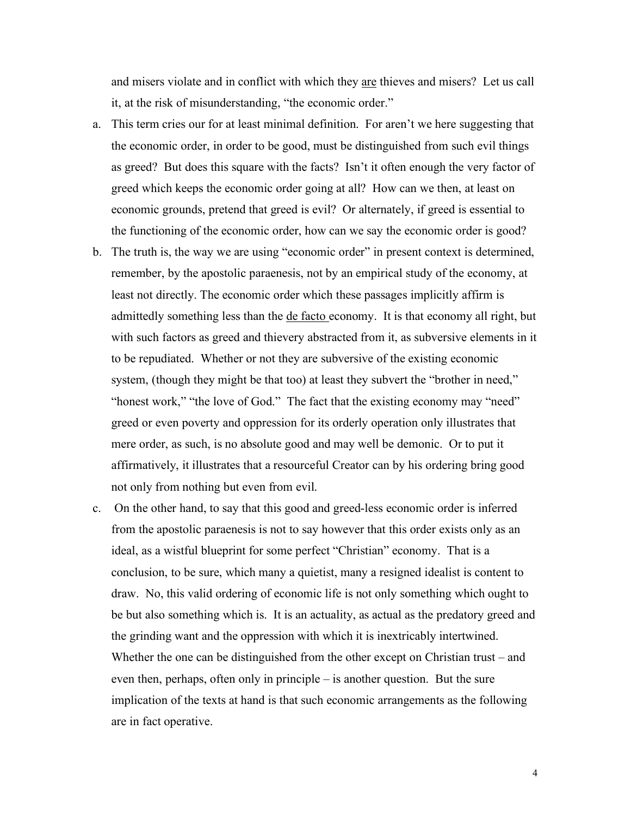and misers violate and in conflict with which they are thieves and misers? Let us call it, at the risk of misunderstanding, "the economic order."

- a. This term cries our for at least minimal definition. For aren't we here suggesting that the economic order, in order to be good, must be distinguished from such evil things as greed? But does this square with the facts? Isn't it often enough the very factor of greed which keeps the economic order going at all? How can we then, at least on economic grounds, pretend that greed is evil? Or alternately, if greed is essential to the functioning of the economic order, how can we say the economic order is good?
- b. The truth is, the way we are using "economic order" in present context is determined, remember, by the apostolic paraenesis, not by an empirical study of the economy, at least not directly. The economic order which these passages implicitly affirm is admittedly something less than the de facto economy. It is that economy all right, but with such factors as greed and thievery abstracted from it, as subversive elements in it to be repudiated. Whether or not they are subversive of the existing economic system, (though they might be that too) at least they subvert the "brother in need," "honest work," "the love of God." The fact that the existing economy may "need" greed or even poverty and oppression for its orderly operation only illustrates that mere order, as such, is no absolute good and may well be demonic. Or to put it affirmatively, it illustrates that a resourceful Creator can by his ordering bring good not only from nothing but even from evil.
- c. On the other hand, to say that this good and greed-less economic order is inferred from the apostolic paraenesis is not to say however that this order exists only as an ideal, as a wistful blueprint for some perfect "Christian" economy. That is a conclusion, to be sure, which many a quietist, many a resigned idealist is content to draw. No, this valid ordering of economic life is not only something which ought to be but also something which is. It is an actuality, as actual as the predatory greed and the grinding want and the oppression with which it is inextricably intertwined. Whether the one can be distinguished from the other except on Christian trust – and even then, perhaps, often only in principle – is another question. But the sure implication of the texts at hand is that such economic arrangements as the following are in fact operative.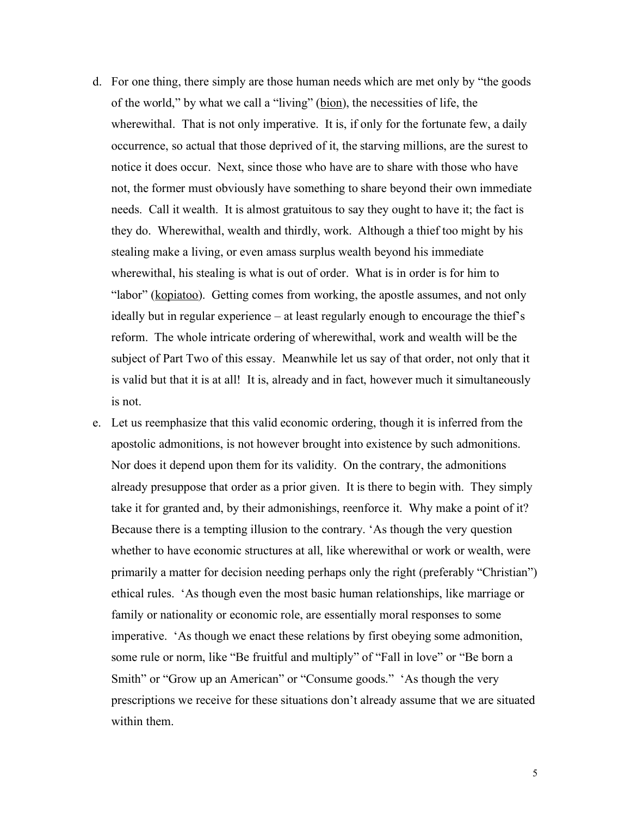- d. For one thing, there simply are those human needs which are met only by "the goods of the world," by what we call a "living" (bion), the necessities of life, the wherewithal. That is not only imperative. It is, if only for the fortunate few, a daily occurrence, so actual that those deprived of it, the starving millions, are the surest to notice it does occur. Next, since those who have are to share with those who have not, the former must obviously have something to share beyond their own immediate needs. Call it wealth. It is almost gratuitous to say they ought to have it; the fact is they do. Wherewithal, wealth and thirdly, work. Although a thief too might by his stealing make a living, or even amass surplus wealth beyond his immediate wherewithal, his stealing is what is out of order. What is in order is for him to "labor" (kopiatoo). Getting comes from working, the apostle assumes, and not only ideally but in regular experience – at least regularly enough to encourage the thief's reform. The whole intricate ordering of wherewithal, work and wealth will be the subject of Part Two of this essay. Meanwhile let us say of that order, not only that it is valid but that it is at all! It is, already and in fact, however much it simultaneously is not.
- e. Let us reemphasize that this valid economic ordering, though it is inferred from the apostolic admonitions, is not however brought into existence by such admonitions. Nor does it depend upon them for its validity. On the contrary, the admonitions already presuppose that order as a prior given. It is there to begin with. They simply take it for granted and, by their admonishings, reenforce it. Why make a point of it? Because there is a tempting illusion to the contrary. 'As though the very question whether to have economic structures at all, like wherewithal or work or wealth, were primarily a matter for decision needing perhaps only the right (preferably "Christian") ethical rules. 'As though even the most basic human relationships, like marriage or family or nationality or economic role, are essentially moral responses to some imperative. 'As though we enact these relations by first obeying some admonition, some rule or norm, like "Be fruitful and multiply" of "Fall in love" or "Be born a Smith" or "Grow up an American" or "Consume goods." 'As though the very prescriptions we receive for these situations don't already assume that we are situated within them.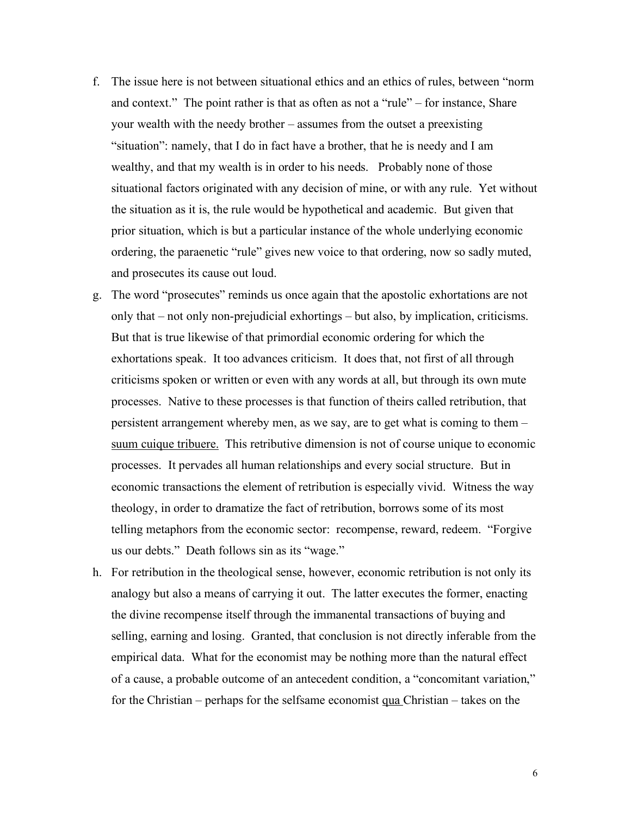- f. The issue here is not between situational ethics and an ethics of rules, between "norm and context." The point rather is that as often as not a "rule" – for instance, Share your wealth with the needy brother – assumes from the outset a preexisting "situation": namely, that I do in fact have a brother, that he is needy and I am wealthy, and that my wealth is in order to his needs. Probably none of those situational factors originated with any decision of mine, or with any rule. Yet without the situation as it is, the rule would be hypothetical and academic. But given that prior situation, which is but a particular instance of the whole underlying economic ordering, the paraenetic "rule" gives new voice to that ordering, now so sadly muted, and prosecutes its cause out loud.
- g. The word "prosecutes" reminds us once again that the apostolic exhortations are not only that – not only non-prejudicial exhortings – but also, by implication, criticisms. But that is true likewise of that primordial economic ordering for which the exhortations speak. It too advances criticism. It does that, not first of all through criticisms spoken or written or even with any words at all, but through its own mute processes. Native to these processes is that function of theirs called retribution, that persistent arrangement whereby men, as we say, are to get what is coming to them – suum cuique tribuere. This retributive dimension is not of course unique to economic processes. It pervades all human relationships and every social structure. But in economic transactions the element of retribution is especially vivid. Witness the way theology, in order to dramatize the fact of retribution, borrows some of its most telling metaphors from the economic sector: recompense, reward, redeem. "Forgive us our debts." Death follows sin as its "wage."
- h. For retribution in the theological sense, however, economic retribution is not only its analogy but also a means of carrying it out. The latter executes the former, enacting the divine recompense itself through the immanental transactions of buying and selling, earning and losing. Granted, that conclusion is not directly inferable from the empirical data. What for the economist may be nothing more than the natural effect of a cause, a probable outcome of an antecedent condition, a "concomitant variation," for the Christian – perhaps for the selfsame economist qua Christian – takes on the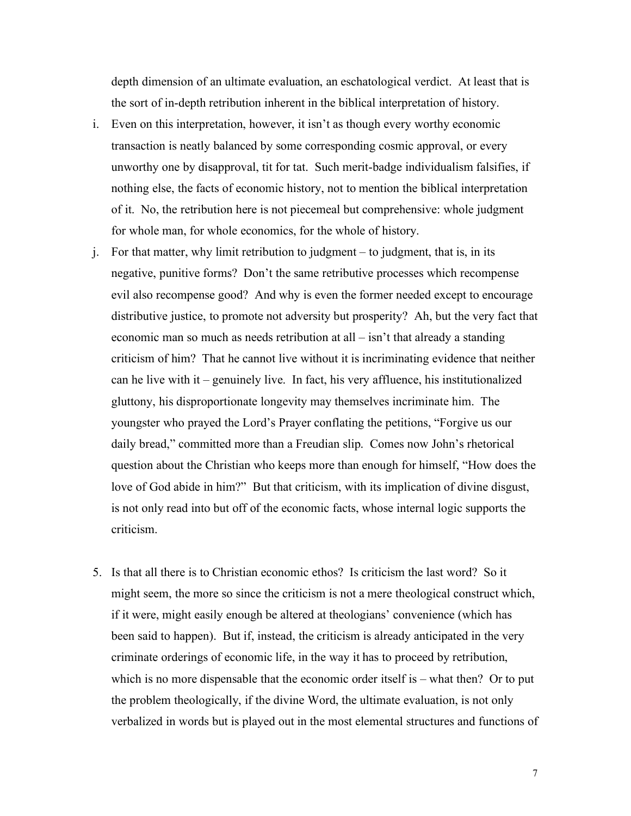depth dimension of an ultimate evaluation, an eschatological verdict. At least that is the sort of in-depth retribution inherent in the biblical interpretation of history.

- i. Even on this interpretation, however, it isn't as though every worthy economic transaction is neatly balanced by some corresponding cosmic approval, or every unworthy one by disapproval, tit for tat. Such merit-badge individualism falsifies, if nothing else, the facts of economic history, not to mention the biblical interpretation of it. No, the retribution here is not piecemeal but comprehensive: whole judgment for whole man, for whole economics, for the whole of history.
- j. For that matter, why limit retribution to judgment to judgment, that is, in its negative, punitive forms? Don't the same retributive processes which recompense evil also recompense good? And why is even the former needed except to encourage distributive justice, to promote not adversity but prosperity? Ah, but the very fact that economic man so much as needs retribution at all – isn't that already a standing criticism of him? That he cannot live without it is incriminating evidence that neither can he live with it – genuinely live. In fact, his very affluence, his institutionalized gluttony, his disproportionate longevity may themselves incriminate him. The youngster who prayed the Lord's Prayer conflating the petitions, "Forgive us our daily bread," committed more than a Freudian slip. Comes now John's rhetorical question about the Christian who keeps more than enough for himself, "How does the love of God abide in him?" But that criticism, with its implication of divine disgust, is not only read into but off of the economic facts, whose internal logic supports the criticism.
- 5. Is that all there is to Christian economic ethos? Is criticism the last word? So it might seem, the more so since the criticism is not a mere theological construct which, if it were, might easily enough be altered at theologians' convenience (which has been said to happen). But if, instead, the criticism is already anticipated in the very criminate orderings of economic life, in the way it has to proceed by retribution, which is no more dispensable that the economic order itself is – what then? Or to put the problem theologically, if the divine Word, the ultimate evaluation, is not only verbalized in words but is played out in the most elemental structures and functions of

7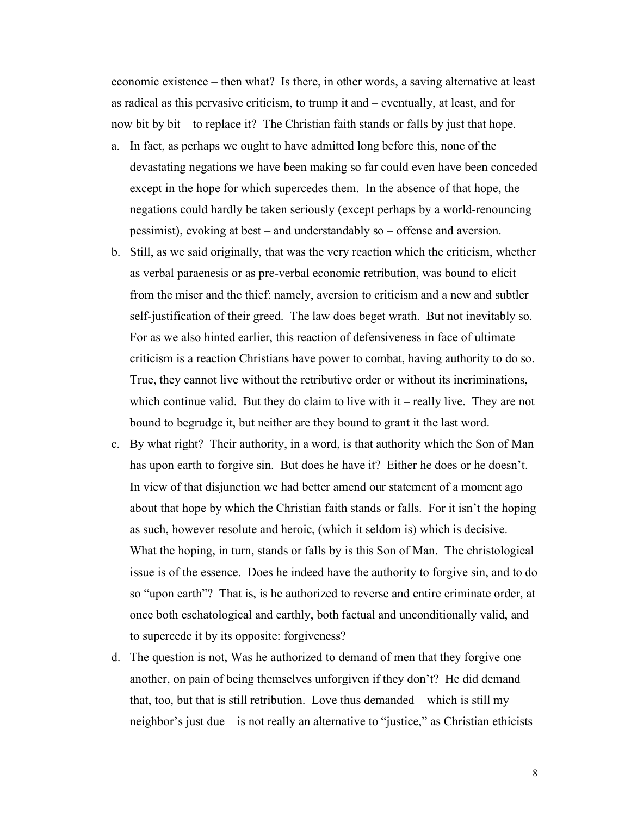economic existence – then what? Is there, in other words, a saving alternative at least as radical as this pervasive criticism, to trump it and – eventually, at least, and for now bit by bit – to replace it? The Christian faith stands or falls by just that hope.

- a. In fact, as perhaps we ought to have admitted long before this, none of the devastating negations we have been making so far could even have been conceded except in the hope for which supercedes them. In the absence of that hope, the negations could hardly be taken seriously (except perhaps by a world-renouncing pessimist), evoking at best – and understandably so – offense and aversion.
- b. Still, as we said originally, that was the very reaction which the criticism, whether as verbal paraenesis or as pre-verbal economic retribution, was bound to elicit from the miser and the thief: namely, aversion to criticism and a new and subtler self-justification of their greed. The law does beget wrath. But not inevitably so. For as we also hinted earlier, this reaction of defensiveness in face of ultimate criticism is a reaction Christians have power to combat, having authority to do so. True, they cannot live without the retributive order or without its incriminations, which continue valid. But they do claim to live  $\frac{with}{it}$  it – really live. They are not bound to begrudge it, but neither are they bound to grant it the last word.
- c. By what right? Their authority, in a word, is that authority which the Son of Man has upon earth to forgive sin. But does he have it? Either he does or he doesn't. In view of that disjunction we had better amend our statement of a moment ago about that hope by which the Christian faith stands or falls. For it isn't the hoping as such, however resolute and heroic, (which it seldom is) which is decisive. What the hoping, in turn, stands or falls by is this Son of Man. The christological issue is of the essence. Does he indeed have the authority to forgive sin, and to do so "upon earth"? That is, is he authorized to reverse and entire criminate order, at once both eschatological and earthly, both factual and unconditionally valid, and to supercede it by its opposite: forgiveness?
- d. The question is not, Was he authorized to demand of men that they forgive one another, on pain of being themselves unforgiven if they don't? He did demand that, too, but that is still retribution. Love thus demanded – which is still my neighbor's just due – is not really an alternative to "justice," as Christian ethicists

8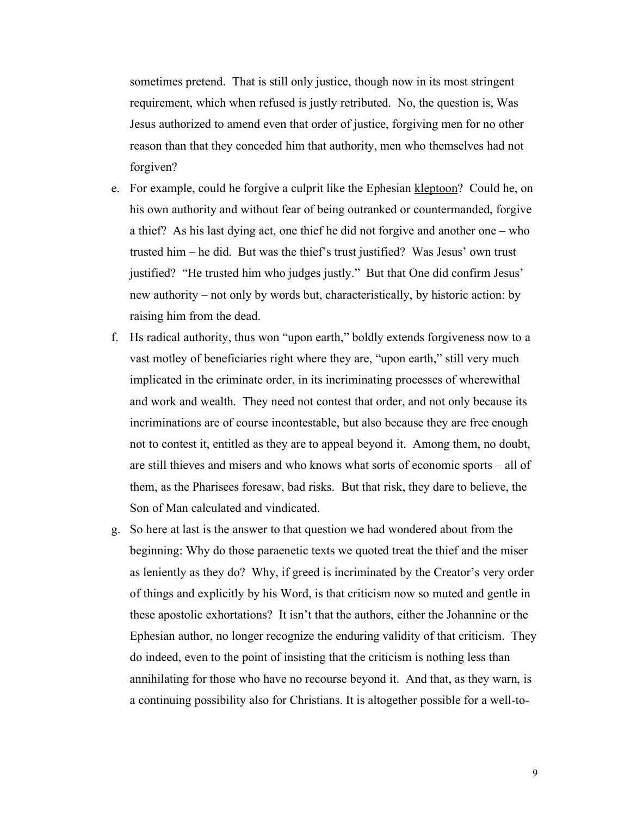sometimes pretend. That is still only justice, though now in its most stringent requirement, which when refused is justly retributed. No, the question is, Was Jesus authorized to amend even that order of justice, forgiving men for no other reason than that they conceded him that authority, men who themselves had not forgiven?

- e. For example, could he forgive a culprit like the Ephesian kleptoon? Could he, on his own authority and without fear of being outranked or countermanded, forgive a thief? As his last dying act, one thief he did not forgive and another one – who trusted him – he did. But was the thief's trust justified? Was Jesus' own trust justified? "He trusted him who judges justly." But that One did confirm Jesus' new authority – not only by words but, characteristically, by historic action: by raising him from the dead.
- f. Hs radical authority, thus won "upon earth," boldly extends forgiveness now to a vast motley of beneficiaries right where they are, "upon earth," still very much implicated in the criminate order, in its incriminating processes of wherewithal and work and wealth. They need not contest that order, and not only because its incriminations are of course incontestable, but also because they are free enough not to contest it, entitled as they are to appeal beyond it. Among them, no doubt, are still thieves and misers and who knows what sorts of economic sports – all of them, as the Pharisees foresaw, bad risks. But that risk, they dare to believe, the Son of Man calculated and vindicated.
- g. So here at last is the answer to that question we had wondered about from the beginning: Why do those paraenetic texts we quoted treat the thief and the miser as leniently as they do? Why, if greed is incriminated by the Creator's very order of things and explicitly by his Word, is that criticism now so muted and gentle in these apostolic exhortations? It isn't that the authors, either the Johannine or the Ephesian author, no longer recognize the enduring validity of that criticism. They do indeed, even to the point of insisting that the criticism is nothing less than annihilating for those who have no recourse beyond it. And that, as they warn, is a continuing possibility also for Christians. It is altogether possible for a well-to-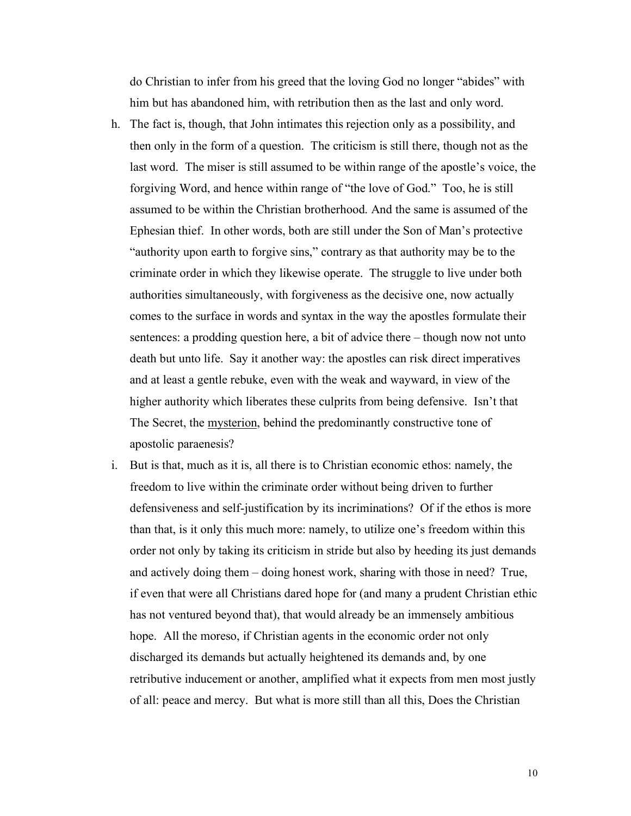do Christian to infer from his greed that the loving God no longer "abides" with him but has abandoned him, with retribution then as the last and only word.

- h. The fact is, though, that John intimates this rejection only as a possibility, and then only in the form of a question. The criticism is still there, though not as the last word. The miser is still assumed to be within range of the apostle's voice, the forgiving Word, and hence within range of "the love of God." Too, he is still assumed to be within the Christian brotherhood. And the same is assumed of the Ephesian thief. In other words, both are still under the Son of Man's protective "authority upon earth to forgive sins," contrary as that authority may be to the criminate order in which they likewise operate. The struggle to live under both authorities simultaneously, with forgiveness as the decisive one, now actually comes to the surface in words and syntax in the way the apostles formulate their sentences: a prodding question here, a bit of advice there – though now not unto death but unto life. Say it another way: the apostles can risk direct imperatives and at least a gentle rebuke, even with the weak and wayward, in view of the higher authority which liberates these culprits from being defensive. Isn't that The Secret, the mysterion, behind the predominantly constructive tone of apostolic paraenesis?
- i. But is that, much as it is, all there is to Christian economic ethos: namely, the freedom to live within the criminate order without being driven to further defensiveness and self-justification by its incriminations? Of if the ethos is more than that, is it only this much more: namely, to utilize one's freedom within this order not only by taking its criticism in stride but also by heeding its just demands and actively doing them – doing honest work, sharing with those in need? True, if even that were all Christians dared hope for (and many a prudent Christian ethic has not ventured beyond that), that would already be an immensely ambitious hope. All the moreso, if Christian agents in the economic order not only discharged its demands but actually heightened its demands and, by one retributive inducement or another, amplified what it expects from men most justly of all: peace and mercy. But what is more still than all this, Does the Christian